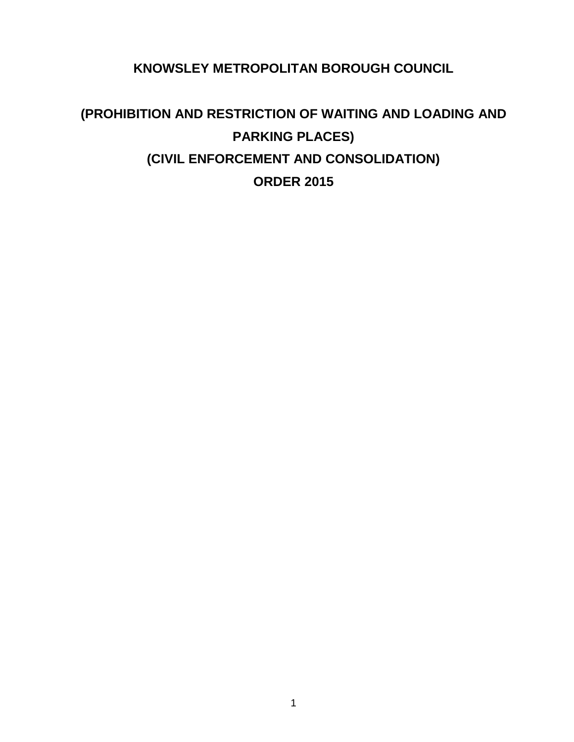**KNOWSLEY METROPOLITAN BOROUGH COUNCIL**

# **(PROHIBITION AND RESTRICTION OF WAITING AND LOADING AND PARKING PLACES) (CIVIL ENFORCEMENT AND CONSOLIDATION) ORDER 2015**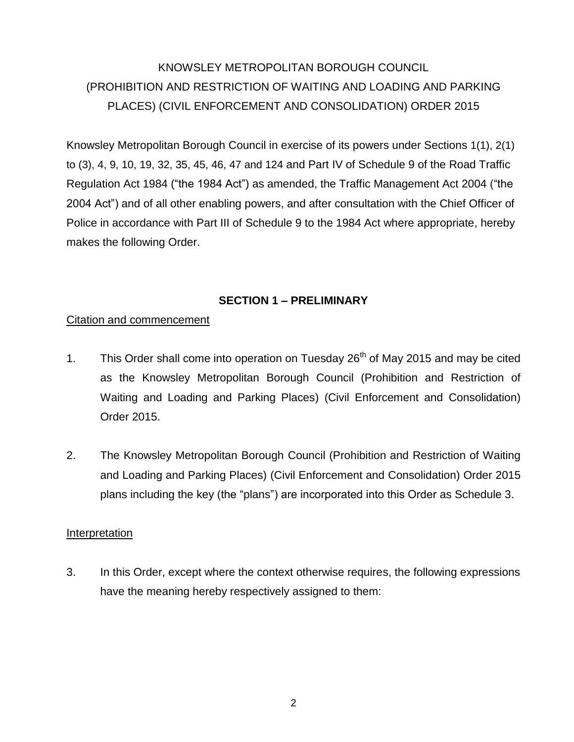## KNOWSLEY METROPOLITAN BOROUGH COUNCIL (PROHIBITION AND RESTRICTION OF WAITING AND LOADING AND PARKING PLACES) (CIVIL ENFORCEMENT AND CONSOLIDATION) ORDER 2015

Knowsley Metropolitan Borough Council in exercise of its powers under Sections 1(1), 2(1) to (3), 4, 9, 10, 19, 32, 35, 45, 46, 47 and 124 and Part IV of Schedule 9 of the Road Traffic Regulation Act 1984 ("the 1984 Act") as amended, the Traffic Management Act 2004 ("the 2004 Act") and of all other enabling powers, and after consultation with the Chief Officer of Police in accordance with Part III of Schedule 9 to the 1984 Act where appropriate, hereby makes the following Order.

### **SECTION 1 – PRELIMINARY**

### Citation and commencement

- 1. This Order shall come into operation on Tuesday  $26<sup>th</sup>$  of May 2015 and may be cited as the Knowsley Metropolitan Borough Council (Prohibition and Restriction of Waiting and Loading and Parking Places) (Civil Enforcement and Consolidation) Order 2015.
- 2. The Knowsley Metropolitan Borough Council (Prohibition and Restriction of Waiting and Loading and Parking Places) (Civil Enforcement and Consolidation) Order 2015 plans including the key (the "plans") are incorporated into this Order as Schedule 3.

### Interpretation

3. In this Order, except where the context otherwise requires, the following expressions have the meaning hereby respectively assigned to them: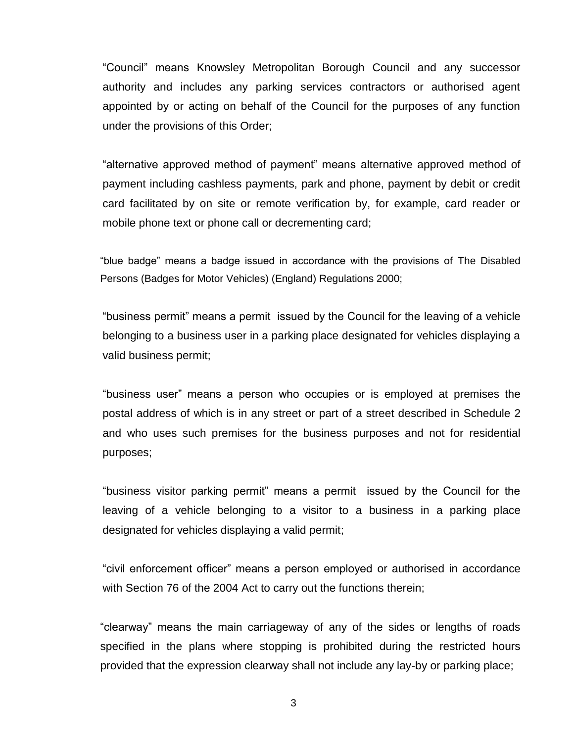"Council" means Knowsley Metropolitan Borough Council and any successor authority and includes any parking services contractors or authorised agent appointed by or acting on behalf of the Council for the purposes of any function under the provisions of this Order;

"alternative approved method of payment" means alternative approved method of payment including cashless payments, park and phone, payment by debit or credit card facilitated by on site or remote verification by, for example, card reader or mobile phone text or phone call or decrementing card;

"blue badge" means a badge issued in accordance with the provisions of The Disabled Persons (Badges for Motor Vehicles) (England) Regulations 2000;

"business permit" means a permit issued by the Council for the leaving of a vehicle belonging to a business user in a parking place designated for vehicles displaying a valid business permit;

"business user" means a person who occupies or is employed at premises the postal address of which is in any street or part of a street described in Schedule 2 and who uses such premises for the business purposes and not for residential purposes;

"business visitor parking permit" means a permit issued by the Council for the leaving of a vehicle belonging to a visitor to a business in a parking place designated for vehicles displaying a valid permit;

"civil enforcement officer" means a person employed or authorised in accordance with Section 76 of the 2004 Act to carry out the functions therein;

"clearway" means the main carriageway of any of the sides or lengths of roads specified in the plans where stopping is prohibited during the restricted hours provided that the expression clearway shall not include any lay-by or parking place;

3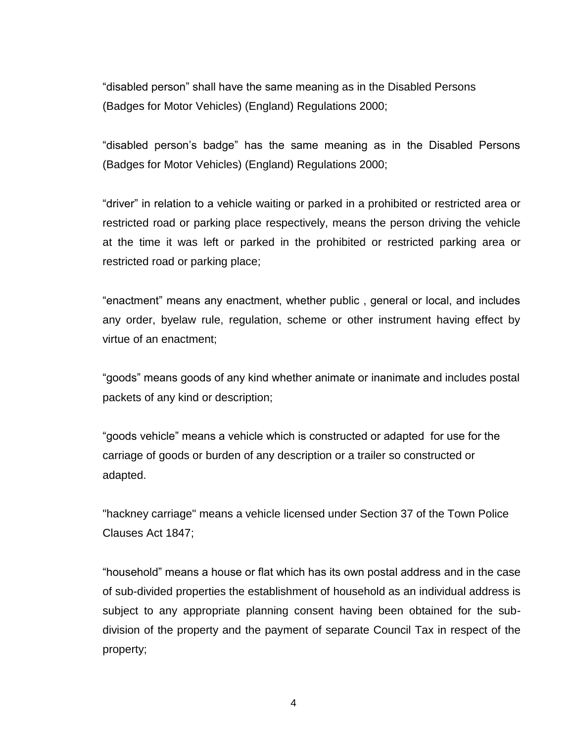"disabled person" shall have the same meaning as in the Disabled Persons (Badges for Motor Vehicles) (England) Regulations 2000;

"disabled person's badge" has the same meaning as in the Disabled Persons (Badges for Motor Vehicles) (England) Regulations 2000;

"driver" in relation to a vehicle waiting or parked in a prohibited or restricted area or restricted road or parking place respectively, means the person driving the vehicle at the time it was left or parked in the prohibited or restricted parking area or restricted road or parking place;

"enactment" means any enactment, whether public , general or local, and includes any order, byelaw rule, regulation, scheme or other instrument having effect by virtue of an enactment;

"goods" means goods of any kind whether animate or inanimate and includes postal packets of any kind or description;

"goods vehicle" means a vehicle which is constructed or adapted for use for the carriage of goods or burden of any description or a trailer so constructed or adapted.

"hackney carriage" means a vehicle licensed under Section 37 of the Town Police Clauses Act 1847;

"household" means a house or flat which has its own postal address and in the case of sub-divided properties the establishment of household as an individual address is subject to any appropriate planning consent having been obtained for the subdivision of the property and the payment of separate Council Tax in respect of the property;

4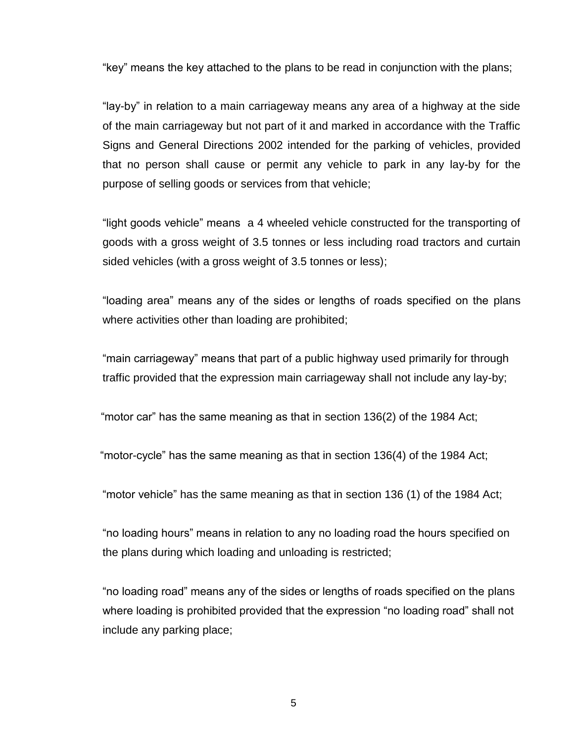"key" means the key attached to the plans to be read in conjunction with the plans;

"lay-by" in relation to a main carriageway means any area of a highway at the side of the main carriageway but not part of it and marked in accordance with the Traffic Signs and General Directions 2002 intended for the parking of vehicles, provided that no person shall cause or permit any vehicle to park in any lay-by for the purpose of selling goods or services from that vehicle;

"light goods vehicle" means a 4 wheeled vehicle constructed for the transporting of goods with a gross weight of 3.5 tonnes or less including road tractors and curtain sided vehicles (with a gross weight of 3.5 tonnes or less);

"loading area" means any of the sides or lengths of roads specified on the plans where activities other than loading are prohibited;

"main carriageway" means that part of a public highway used primarily for through traffic provided that the expression main carriageway shall not include any lay-by;

"motor car" has the same meaning as that in section 136(2) of the 1984 Act;

"motor-cycle" has the same meaning as that in section 136(4) of the 1984 Act;

"motor vehicle" has the same meaning as that in section 136 (1) of the 1984 Act;

"no loading hours" means in relation to any no loading road the hours specified on the plans during which loading and unloading is restricted;

"no loading road" means any of the sides or lengths of roads specified on the plans where loading is prohibited provided that the expression "no loading road" shall not include any parking place;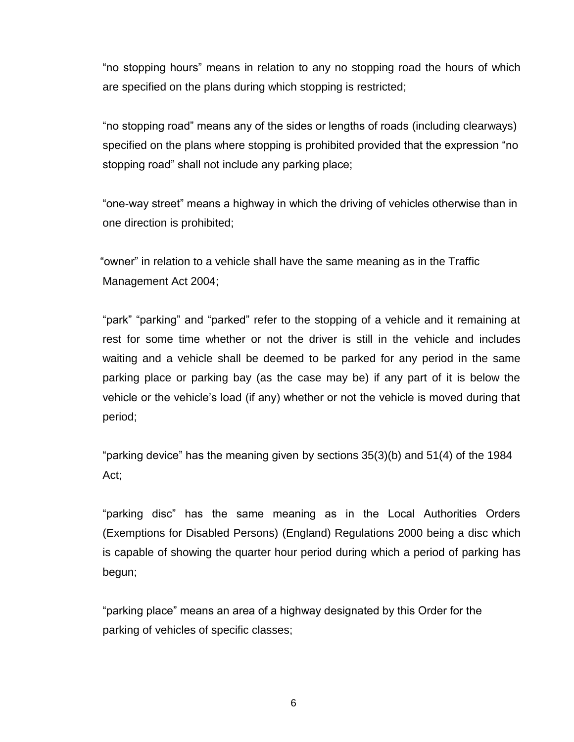"no stopping hours" means in relation to any no stopping road the hours of which are specified on the plans during which stopping is restricted;

"no stopping road" means any of the sides or lengths of roads (including clearways) specified on the plans where stopping is prohibited provided that the expression "no stopping road" shall not include any parking place;

"one-way street" means a highway in which the driving of vehicles otherwise than in one direction is prohibited;

"owner" in relation to a vehicle shall have the same meaning as in the Traffic Management Act 2004;

"park" "parking" and "parked" refer to the stopping of a vehicle and it remaining at rest for some time whether or not the driver is still in the vehicle and includes waiting and a vehicle shall be deemed to be parked for any period in the same parking place or parking bay (as the case may be) if any part of it is below the vehicle or the vehicle's load (if any) whether or not the vehicle is moved during that period;

"parking device" has the meaning given by sections 35(3)(b) and 51(4) of the 1984 Act;

"parking disc" has the same meaning as in the Local Authorities Orders (Exemptions for Disabled Persons) (England) Regulations 2000 being a disc which is capable of showing the quarter hour period during which a period of parking has begun;

"parking place" means an area of a highway designated by this Order for the parking of vehicles of specific classes;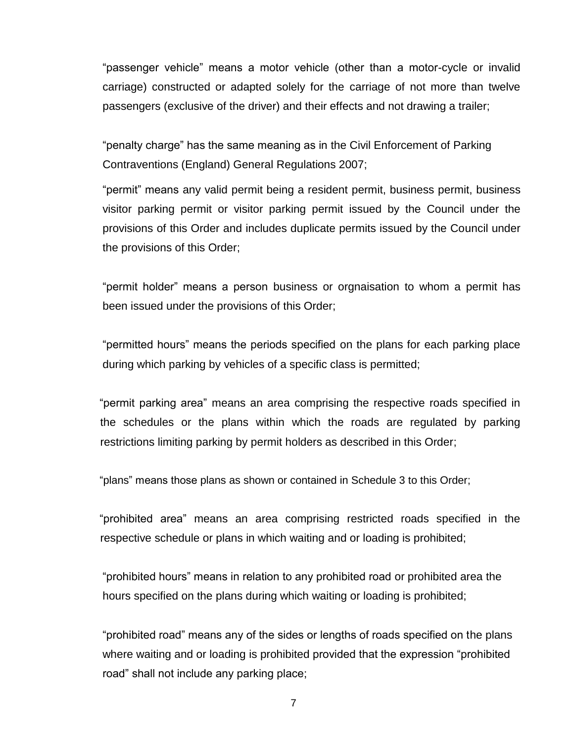"passenger vehicle" means a motor vehicle (other than a motor-cycle or invalid carriage) constructed or adapted solely for the carriage of not more than twelve passengers (exclusive of the driver) and their effects and not drawing a trailer;

"penalty charge" has the same meaning as in the Civil Enforcement of Parking Contraventions (England) General Regulations 2007;

"permit" means any valid permit being a resident permit, business permit, business visitor parking permit or visitor parking permit issued by the Council under the provisions of this Order and includes duplicate permits issued by the Council under the provisions of this Order;

"permit holder" means a person business or orgnaisation to whom a permit has been issued under the provisions of this Order;

"permitted hours" means the periods specified on the plans for each parking place during which parking by vehicles of a specific class is permitted;

"permit parking area" means an area comprising the respective roads specified in the schedules or the plans within which the roads are regulated by parking restrictions limiting parking by permit holders as described in this Order;

"plans" means those plans as shown or contained in Schedule 3 to this Order;

"prohibited area" means an area comprising restricted roads specified in the respective schedule or plans in which waiting and or loading is prohibited;

"prohibited hours" means in relation to any prohibited road or prohibited area the hours specified on the plans during which waiting or loading is prohibited;

"prohibited road" means any of the sides or lengths of roads specified on the plans where waiting and or loading is prohibited provided that the expression "prohibited road" shall not include any parking place;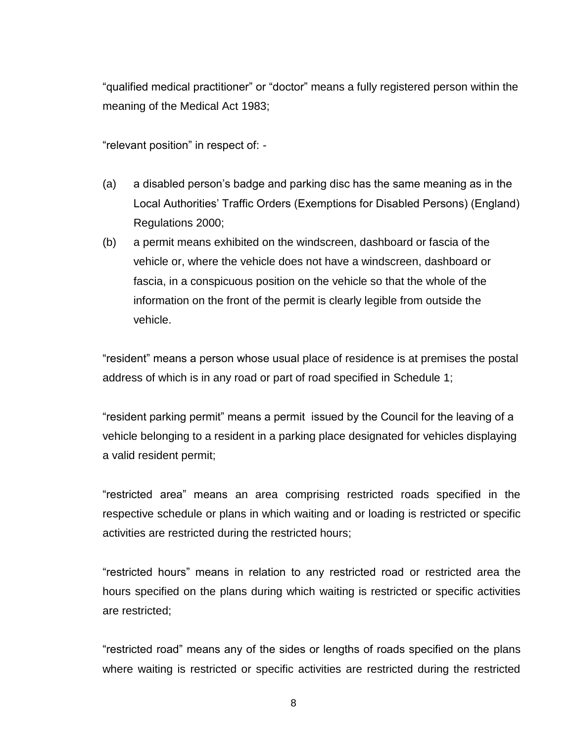"qualified medical practitioner" or "doctor" means a fully registered person within the meaning of the Medical Act 1983;

"relevant position" in respect of: -

- (a) a disabled person's badge and parking disc has the same meaning as in the Local Authorities' Traffic Orders (Exemptions for Disabled Persons) (England) Regulations 2000;
- (b) a permit means exhibited on the windscreen, dashboard or fascia of the vehicle or, where the vehicle does not have a windscreen, dashboard or fascia, in a conspicuous position on the vehicle so that the whole of the information on the front of the permit is clearly legible from outside the vehicle.

"resident" means a person whose usual place of residence is at premises the postal address of which is in any road or part of road specified in Schedule 1;

"resident parking permit" means a permit issued by the Council for the leaving of a vehicle belonging to a resident in a parking place designated for vehicles displaying a valid resident permit;

"restricted area" means an area comprising restricted roads specified in the respective schedule or plans in which waiting and or loading is restricted or specific activities are restricted during the restricted hours;

"restricted hours" means in relation to any restricted road or restricted area the hours specified on the plans during which waiting is restricted or specific activities are restricted;

"restricted road" means any of the sides or lengths of roads specified on the plans where waiting is restricted or specific activities are restricted during the restricted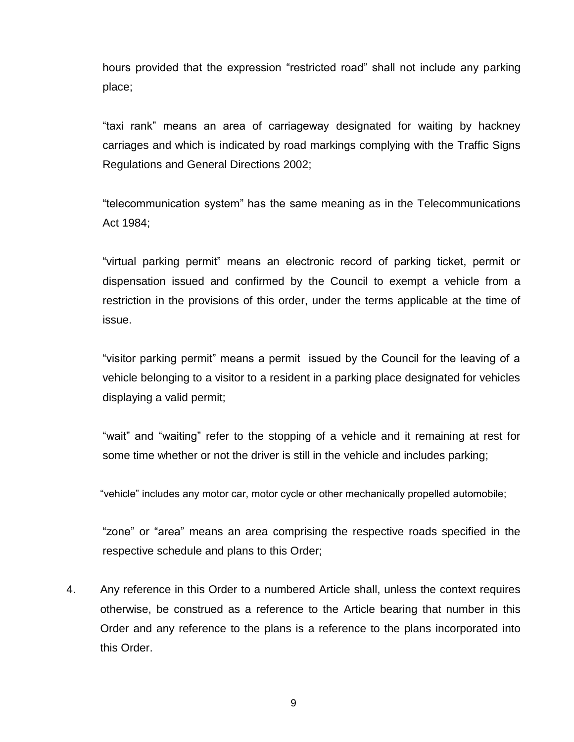hours provided that the expression "restricted road" shall not include any parking place;

"taxi rank" means an area of carriageway designated for waiting by hackney carriages and which is indicated by road markings complying with the Traffic Signs Regulations and General Directions 2002;

"telecommunication system" has the same meaning as in the Telecommunications Act 1984;

"virtual parking permit" means an electronic record of parking ticket, permit or dispensation issued and confirmed by the Council to exempt a vehicle from a restriction in the provisions of this order, under the terms applicable at the time of issue.

"visitor parking permit" means a permit issued by the Council for the leaving of a vehicle belonging to a visitor to a resident in a parking place designated for vehicles displaying a valid permit;

"wait" and "waiting" refer to the stopping of a vehicle and it remaining at rest for some time whether or not the driver is still in the vehicle and includes parking;

"vehicle" includes any motor car, motor cycle or other mechanically propelled automobile;

"zone" or "area" means an area comprising the respective roads specified in the respective schedule and plans to this Order;

4. Any reference in this Order to a numbered Article shall, unless the context requires otherwise, be construed as a reference to the Article bearing that number in this Order and any reference to the plans is a reference to the plans incorporated into this Order.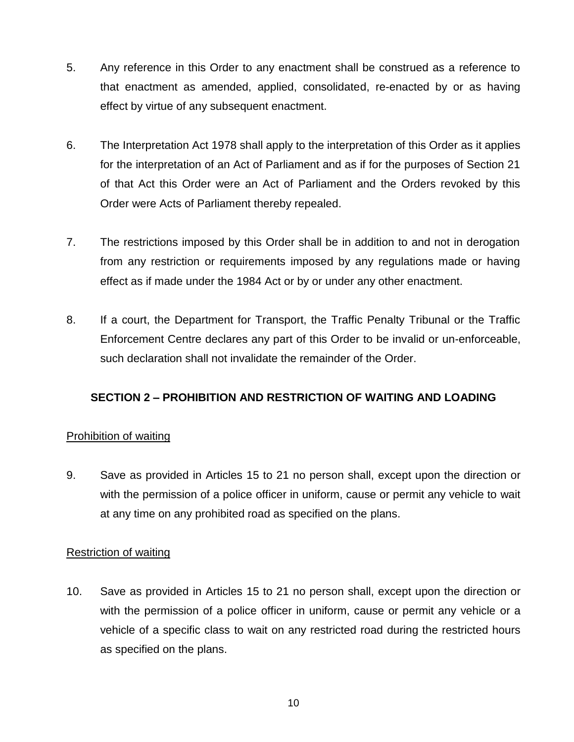- 5. Any reference in this Order to any enactment shall be construed as a reference to that enactment as amended, applied, consolidated, re-enacted by or as having effect by virtue of any subsequent enactment.
- 6. The Interpretation Act 1978 shall apply to the interpretation of this Order as it applies for the interpretation of an Act of Parliament and as if for the purposes of Section 21 of that Act this Order were an Act of Parliament and the Orders revoked by this Order were Acts of Parliament thereby repealed.
- 7. The restrictions imposed by this Order shall be in addition to and not in derogation from any restriction or requirements imposed by any regulations made or having effect as if made under the 1984 Act or by or under any other enactment.
- 8. If a court, the Department for Transport, the Traffic Penalty Tribunal or the Traffic Enforcement Centre declares any part of this Order to be invalid or un-enforceable, such declaration shall not invalidate the remainder of the Order.

### **SECTION 2 – PROHIBITION AND RESTRICTION OF WAITING AND LOADING**

### Prohibition of waiting

9. Save as provided in Articles 15 to 21 no person shall, except upon the direction or with the permission of a police officer in uniform, cause or permit any vehicle to wait at any time on any prohibited road as specified on the plans.

### Restriction of waiting

10. Save as provided in Articles 15 to 21 no person shall, except upon the direction or with the permission of a police officer in uniform, cause or permit any vehicle or a vehicle of a specific class to wait on any restricted road during the restricted hours as specified on the plans.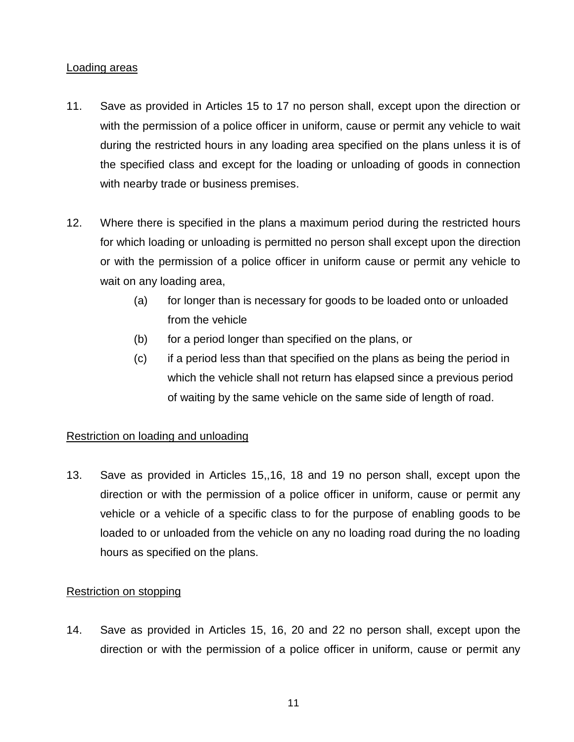#### Loading areas

- 11. Save as provided in Articles 15 to 17 no person shall, except upon the direction or with the permission of a police officer in uniform, cause or permit any vehicle to wait during the restricted hours in any loading area specified on the plans unless it is of the specified class and except for the loading or unloading of goods in connection with nearby trade or business premises.
- 12. Where there is specified in the plans a maximum period during the restricted hours for which loading or unloading is permitted no person shall except upon the direction or with the permission of a police officer in uniform cause or permit any vehicle to wait on any loading area,
	- (a) for longer than is necessary for goods to be loaded onto or unloaded from the vehicle
	- (b) for a period longer than specified on the plans, or
	- (c) if a period less than that specified on the plans as being the period in which the vehicle shall not return has elapsed since a previous period of waiting by the same vehicle on the same side of length of road.

### Restriction on loading and unloading

13. Save as provided in Articles 15,,16, 18 and 19 no person shall, except upon the direction or with the permission of a police officer in uniform, cause or permit any vehicle or a vehicle of a specific class to for the purpose of enabling goods to be loaded to or unloaded from the vehicle on any no loading road during the no loading hours as specified on the plans.

### Restriction on stopping

14. Save as provided in Articles 15, 16, 20 and 22 no person shall, except upon the direction or with the permission of a police officer in uniform, cause or permit any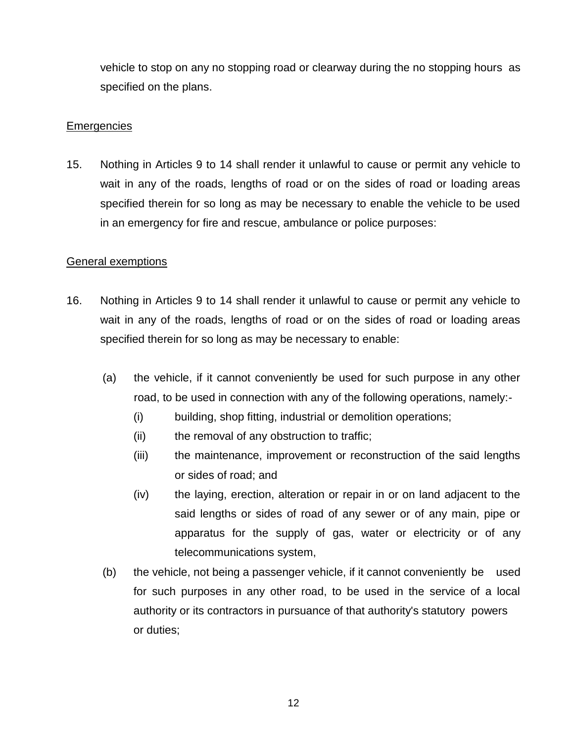vehicle to stop on any no stopping road or clearway during the no stopping hours as specified on the plans.

#### **Emergencies**

15. Nothing in Articles 9 to 14 shall render it unlawful to cause or permit any vehicle to wait in any of the roads, lengths of road or on the sides of road or loading areas specified therein for so long as may be necessary to enable the vehicle to be used in an emergency for fire and rescue, ambulance or police purposes:

### General exemptions

- 16. Nothing in Articles 9 to 14 shall render it unlawful to cause or permit any vehicle to wait in any of the roads, lengths of road or on the sides of road or loading areas specified therein for so long as may be necessary to enable:
	- (a) the vehicle, if it cannot conveniently be used for such purpose in any other road, to be used in connection with any of the following operations, namely:-
		- (i) building, shop fitting, industrial or demolition operations;
		- (ii) the removal of any obstruction to traffic;
		- (iii) the maintenance, improvement or reconstruction of the said lengths or sides of road; and
		- (iv) the laying, erection, alteration or repair in or on land adjacent to the said lengths or sides of road of any sewer or of any main, pipe or apparatus for the supply of gas, water or electricity or of any telecommunications system,
	- (b) the vehicle, not being a passenger vehicle, if it cannot conveniently be used for such purposes in any other road, to be used in the service of a local authority or its contractors in pursuance of that authority's statutory powers or duties;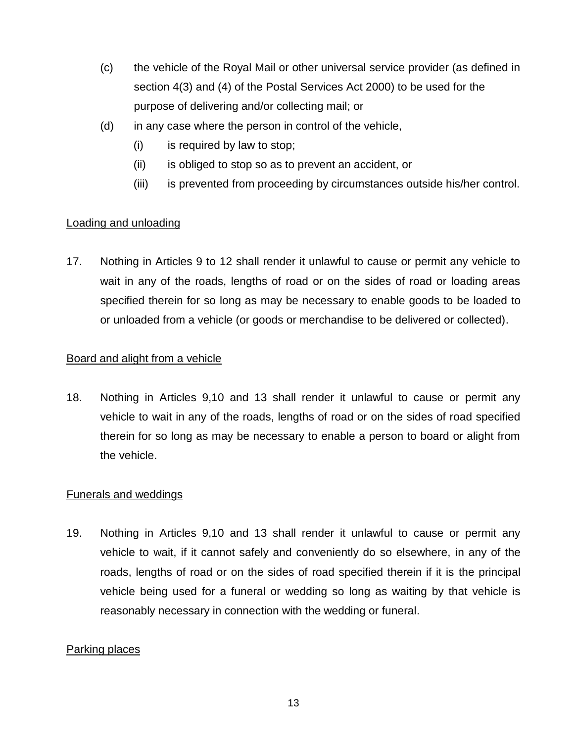- (c) the vehicle of the Royal Mail or other universal service provider (as defined in section 4(3) and (4) of the Postal Services Act 2000) to be used for the purpose of delivering and/or collecting mail; or
- (d) in any case where the person in control of the vehicle,
	- (i) is required by law to stop;
	- (ii) is obliged to stop so as to prevent an accident, or
	- (iii) is prevented from proceeding by circumstances outside his/her control.

### Loading and unloading

17. Nothing in Articles 9 to 12 shall render it unlawful to cause or permit any vehicle to wait in any of the roads, lengths of road or on the sides of road or loading areas specified therein for so long as may be necessary to enable goods to be loaded to or unloaded from a vehicle (or goods or merchandise to be delivered or collected).

### Board and alight from a vehicle

18. Nothing in Articles 9,10 and 13 shall render it unlawful to cause or permit any vehicle to wait in any of the roads, lengths of road or on the sides of road specified therein for so long as may be necessary to enable a person to board or alight from the vehicle.

### Funerals and weddings

19. Nothing in Articles 9,10 and 13 shall render it unlawful to cause or permit any vehicle to wait, if it cannot safely and conveniently do so elsewhere, in any of the roads, lengths of road or on the sides of road specified therein if it is the principal vehicle being used for a funeral or wedding so long as waiting by that vehicle is reasonably necessary in connection with the wedding or funeral.

### Parking places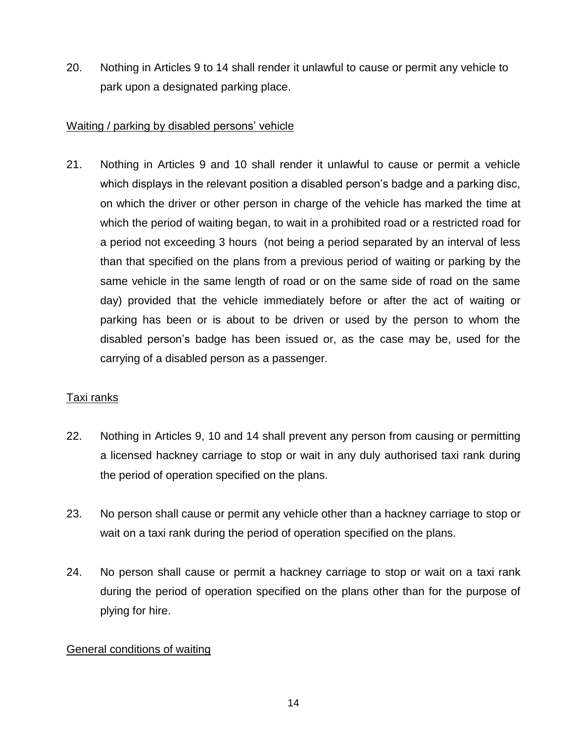20. Nothing in Articles 9 to 14 shall render it unlawful to cause or permit any vehicle to park upon a designated parking place.

### Waiting / parking by disabled persons' vehicle

21. Nothing in Articles 9 and 10 shall render it unlawful to cause or permit a vehicle which displays in the relevant position a disabled person's badge and a parking disc, on which the driver or other person in charge of the vehicle has marked the time at which the period of waiting began, to wait in a prohibited road or a restricted road for a period not exceeding 3 hours (not being a period separated by an interval of less than that specified on the plans from a previous period of waiting or parking by the same vehicle in the same length of road or on the same side of road on the same day) provided that the vehicle immediately before or after the act of waiting or parking has been or is about to be driven or used by the person to whom the disabled person's badge has been issued or, as the case may be, used for the carrying of a disabled person as a passenger.

### Taxi ranks

- 22. Nothing in Articles 9, 10 and 14 shall prevent any person from causing or permitting a licensed hackney carriage to stop or wait in any duly authorised taxi rank during the period of operation specified on the plans.
- 23. No person shall cause or permit any vehicle other than a hackney carriage to stop or wait on a taxi rank during the period of operation specified on the plans.
- 24. No person shall cause or permit a hackney carriage to stop or wait on a taxi rank during the period of operation specified on the plans other than for the purpose of plying for hire.

### General conditions of waiting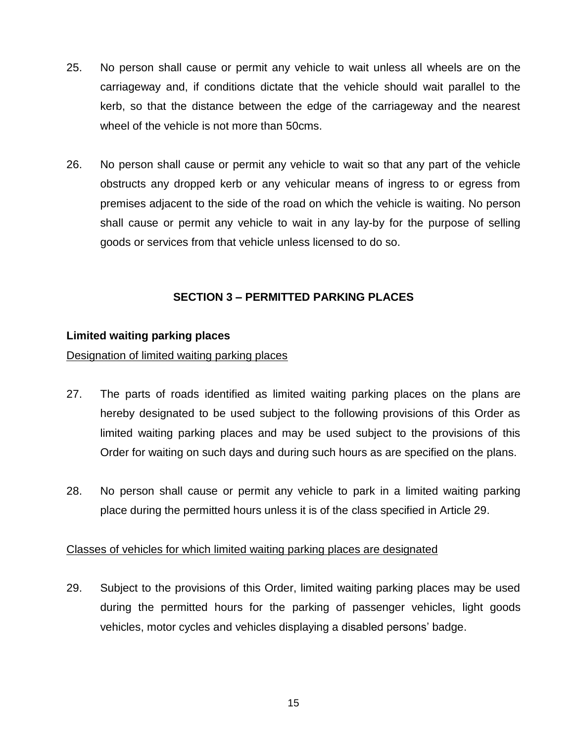- 25. No person shall cause or permit any vehicle to wait unless all wheels are on the carriageway and, if conditions dictate that the vehicle should wait parallel to the kerb, so that the distance between the edge of the carriageway and the nearest wheel of the vehicle is not more than 50cms.
- 26. No person shall cause or permit any vehicle to wait so that any part of the vehicle obstructs any dropped kerb or any vehicular means of ingress to or egress from premises adjacent to the side of the road on which the vehicle is waiting. No person shall cause or permit any vehicle to wait in any lay-by for the purpose of selling goods or services from that vehicle unless licensed to do so.

### **SECTION 3 – PERMITTED PARKING PLACES**

#### **Limited waiting parking places**

Designation of limited waiting parking places

- 27. The parts of roads identified as limited waiting parking places on the plans are hereby designated to be used subject to the following provisions of this Order as limited waiting parking places and may be used subject to the provisions of this Order for waiting on such days and during such hours as are specified on the plans.
- 28. No person shall cause or permit any vehicle to park in a limited waiting parking place during the permitted hours unless it is of the class specified in Article 29.

### Classes of vehicles for which limited waiting parking places are designated

29. Subject to the provisions of this Order, limited waiting parking places may be used during the permitted hours for the parking of passenger vehicles, light goods vehicles, motor cycles and vehicles displaying a disabled persons' badge.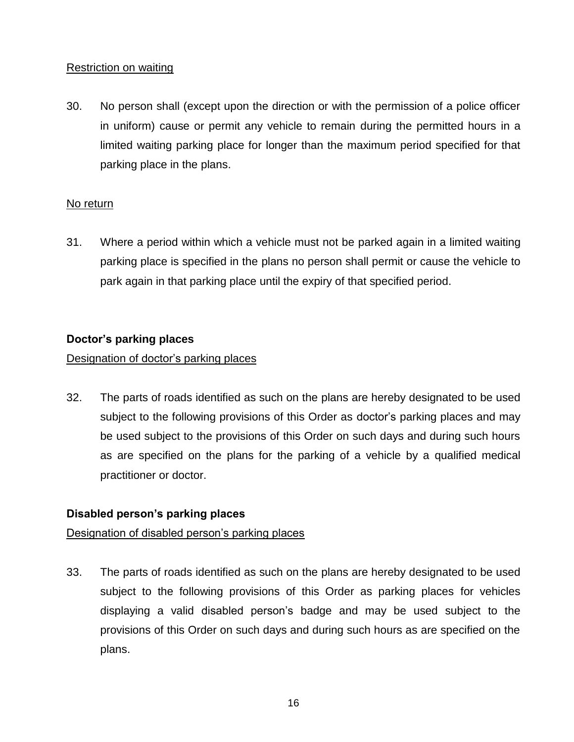### Restriction on waiting

30. No person shall (except upon the direction or with the permission of a police officer in uniform) cause or permit any vehicle to remain during the permitted hours in a limited waiting parking place for longer than the maximum period specified for that parking place in the plans.

### No return

31. Where a period within which a vehicle must not be parked again in a limited waiting parking place is specified in the plans no person shall permit or cause the vehicle to park again in that parking place until the expiry of that specified period.

### **Doctor's parking places**

### Designation of doctor's parking places

32. The parts of roads identified as such on the plans are hereby designated to be used subject to the following provisions of this Order as doctor's parking places and may be used subject to the provisions of this Order on such days and during such hours as are specified on the plans for the parking of a vehicle by a qualified medical practitioner or doctor.

### **Disabled person's parking places**

### Designation of disabled person's parking places

33. The parts of roads identified as such on the plans are hereby designated to be used subject to the following provisions of this Order as parking places for vehicles displaying a valid disabled person's badge and may be used subject to the provisions of this Order on such days and during such hours as are specified on the plans.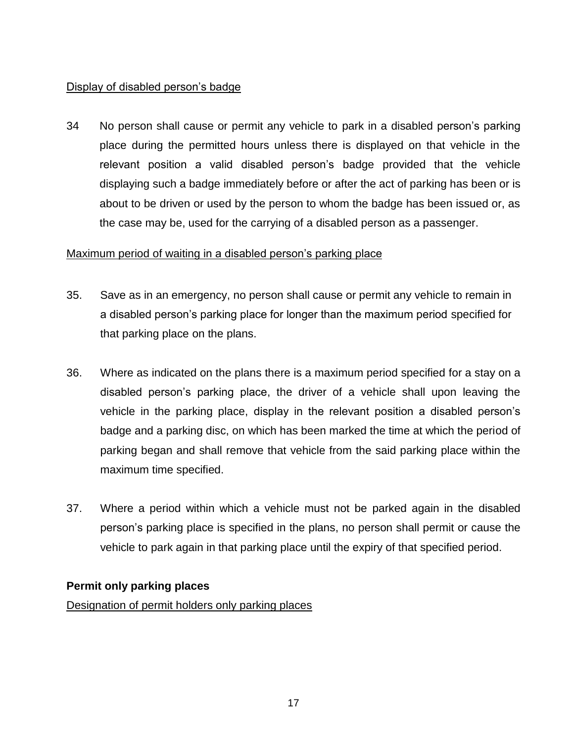### Display of disabled person's badge

34 No person shall cause or permit any vehicle to park in a disabled person's parking place during the permitted hours unless there is displayed on that vehicle in the relevant position a valid disabled person's badge provided that the vehicle displaying such a badge immediately before or after the act of parking has been or is about to be driven or used by the person to whom the badge has been issued or, as the case may be, used for the carrying of a disabled person as a passenger.

### Maximum period of waiting in a disabled person's parking place

- 35. Save as in an emergency, no person shall cause or permit any vehicle to remain in a disabled person's parking place for longer than the maximum period specified for that parking place on the plans.
- 36. Where as indicated on the plans there is a maximum period specified for a stay on a disabled person's parking place, the driver of a vehicle shall upon leaving the vehicle in the parking place, display in the relevant position a disabled person's badge and a parking disc, on which has been marked the time at which the period of parking began and shall remove that vehicle from the said parking place within the maximum time specified.
- 37. Where a period within which a vehicle must not be parked again in the disabled person's parking place is specified in the plans, no person shall permit or cause the vehicle to park again in that parking place until the expiry of that specified period.

### **Permit only parking places**

Designation of permit holders only parking places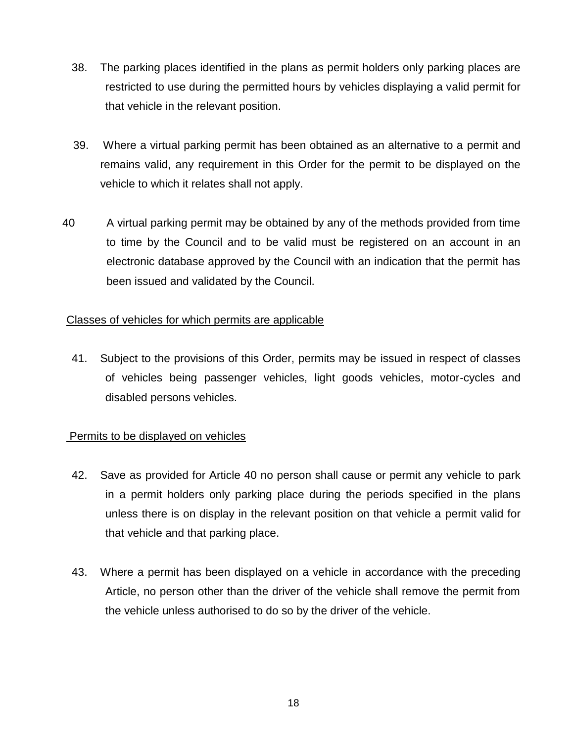- 38. The parking places identified in the plans as permit holders only parking places are restricted to use during the permitted hours by vehicles displaying a valid permit for that vehicle in the relevant position.
- 39. Where a virtual parking permit has been obtained as an alternative to a permit and remains valid, any requirement in this Order for the permit to be displayed on the vehicle to which it relates shall not apply.
- 40 A virtual parking permit may be obtained by any of the methods provided from time to time by the Council and to be valid must be registered on an account in an electronic database approved by the Council with an indication that the permit has been issued and validated by the Council.

### Classes of vehicles for which permits are applicable

41. Subject to the provisions of this Order, permits may be issued in respect of classes of vehicles being passenger vehicles, light goods vehicles, motor-cycles and disabled persons vehicles.

### Permits to be displayed on vehicles

- 42. Save as provided for Article 40 no person shall cause or permit any vehicle to park in a permit holders only parking place during the periods specified in the plans unless there is on display in the relevant position on that vehicle a permit valid for that vehicle and that parking place.
- 43. Where a permit has been displayed on a vehicle in accordance with the preceding Article, no person other than the driver of the vehicle shall remove the permit from the vehicle unless authorised to do so by the driver of the vehicle.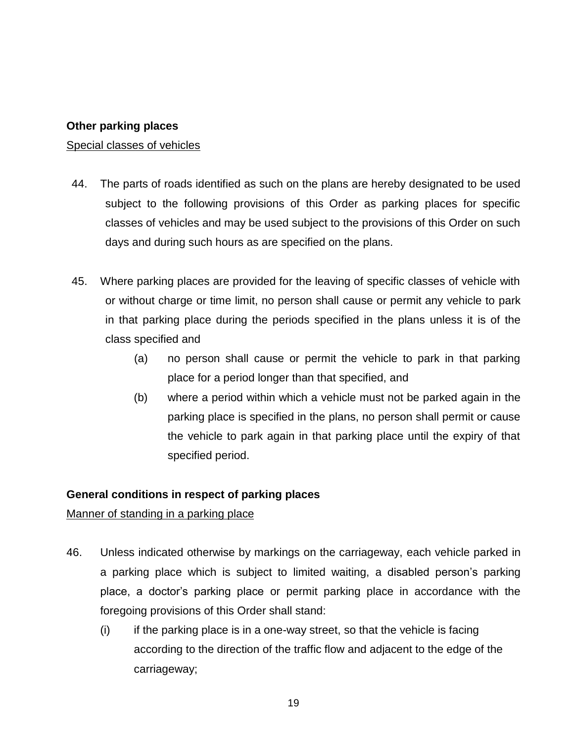### **Other parking places**

#### Special classes of vehicles

- 44. The parts of roads identified as such on the plans are hereby designated to be used subject to the following provisions of this Order as parking places for specific classes of vehicles and may be used subject to the provisions of this Order on such days and during such hours as are specified on the plans.
- 45. Where parking places are provided for the leaving of specific classes of vehicle with or without charge or time limit, no person shall cause or permit any vehicle to park in that parking place during the periods specified in the plans unless it is of the class specified and
	- (a) no person shall cause or permit the vehicle to park in that parking place for a period longer than that specified, and
	- (b) where a period within which a vehicle must not be parked again in the parking place is specified in the plans, no person shall permit or cause the vehicle to park again in that parking place until the expiry of that specified period.

### **General conditions in respect of parking places**

### Manner of standing in a parking place

- 46. Unless indicated otherwise by markings on the carriageway, each vehicle parked in a parking place which is subject to limited waiting, a disabled person's parking place, a doctor's parking place or permit parking place in accordance with the foregoing provisions of this Order shall stand:
	- $(i)$  if the parking place is in a one-way street, so that the vehicle is facing according to the direction of the traffic flow and adjacent to the edge of the carriageway;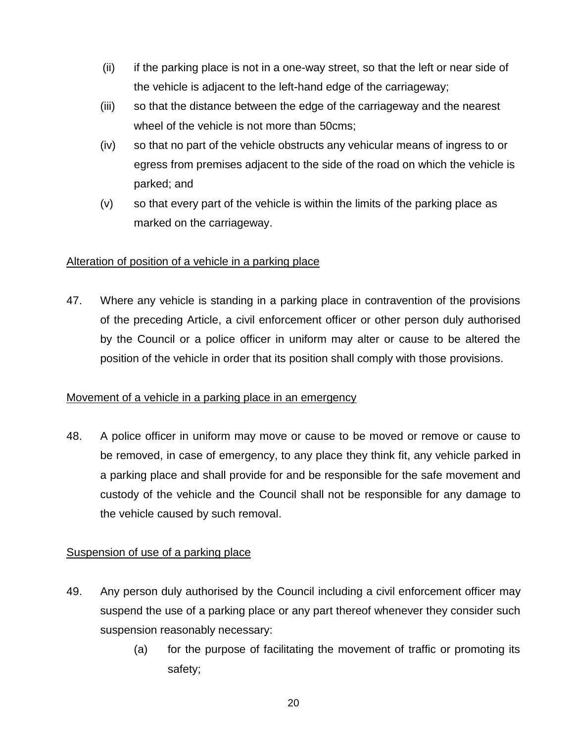- (ii) if the parking place is not in a one-way street, so that the left or near side of the vehicle is adjacent to the left-hand edge of the carriageway;
- (iii) so that the distance between the edge of the carriageway and the nearest wheel of the vehicle is not more than 50cms;
- (iv) so that no part of the vehicle obstructs any vehicular means of ingress to or egress from premises adjacent to the side of the road on which the vehicle is parked; and
- (v) so that every part of the vehicle is within the limits of the parking place as marked on the carriageway.

### Alteration of position of a vehicle in a parking place

47. Where any vehicle is standing in a parking place in contravention of the provisions of the preceding Article, a civil enforcement officer or other person duly authorised by the Council or a police officer in uniform may alter or cause to be altered the position of the vehicle in order that its position shall comply with those provisions.

### Movement of a vehicle in a parking place in an emergency

48. A police officer in uniform may move or cause to be moved or remove or cause to be removed, in case of emergency, to any place they think fit, any vehicle parked in a parking place and shall provide for and be responsible for the safe movement and custody of the vehicle and the Council shall not be responsible for any damage to the vehicle caused by such removal.

### Suspension of use of a parking place

- 49. Any person duly authorised by the Council including a civil enforcement officer may suspend the use of a parking place or any part thereof whenever they consider such suspension reasonably necessary:
	- (a) for the purpose of facilitating the movement of traffic or promoting its safety;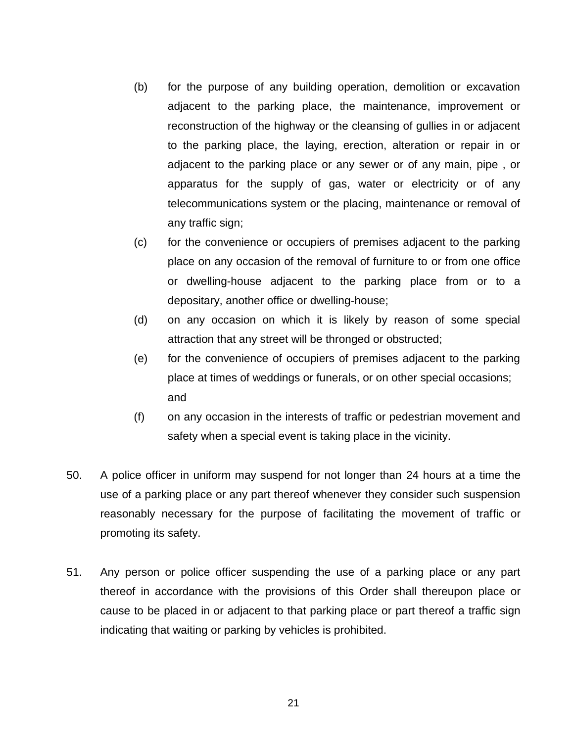- (b) for the purpose of any building operation, demolition or excavation adjacent to the parking place, the maintenance, improvement or reconstruction of the highway or the cleansing of gullies in or adjacent to the parking place, the laying, erection, alteration or repair in or adjacent to the parking place or any sewer or of any main, pipe , or apparatus for the supply of gas, water or electricity or of any telecommunications system or the placing, maintenance or removal of any traffic sign;
- (c) for the convenience or occupiers of premises adjacent to the parking place on any occasion of the removal of furniture to or from one office or dwelling-house adjacent to the parking place from or to a depositary, another office or dwelling-house;
- (d) on any occasion on which it is likely by reason of some special attraction that any street will be thronged or obstructed;
- (e) for the convenience of occupiers of premises adjacent to the parking place at times of weddings or funerals, or on other special occasions; and
- (f) on any occasion in the interests of traffic or pedestrian movement and safety when a special event is taking place in the vicinity.
- 50. A police officer in uniform may suspend for not longer than 24 hours at a time the use of a parking place or any part thereof whenever they consider such suspension reasonably necessary for the purpose of facilitating the movement of traffic or promoting its safety.
- 51. Any person or police officer suspending the use of a parking place or any part thereof in accordance with the provisions of this Order shall thereupon place or cause to be placed in or adjacent to that parking place or part thereof a traffic sign indicating that waiting or parking by vehicles is prohibited.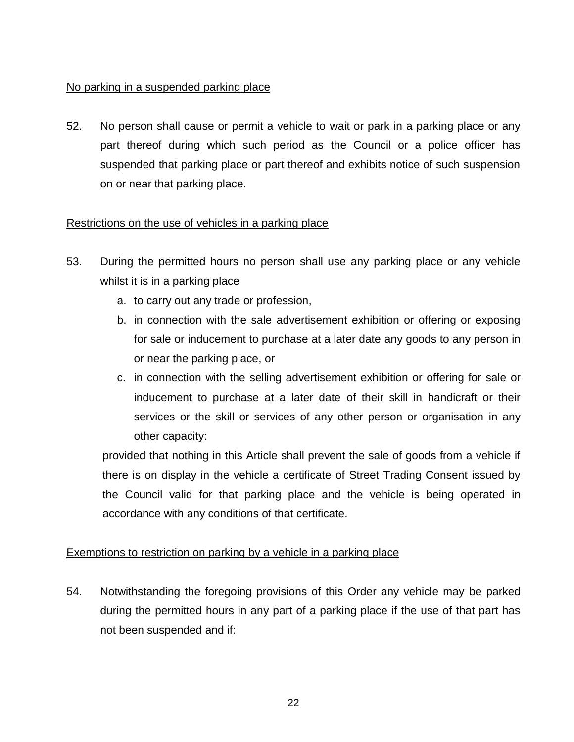### No parking in a suspended parking place

52. No person shall cause or permit a vehicle to wait or park in a parking place or any part thereof during which such period as the Council or a police officer has suspended that parking place or part thereof and exhibits notice of such suspension on or near that parking place.

### Restrictions on the use of vehicles in a parking place

- 53. During the permitted hours no person shall use any parking place or any vehicle whilst it is in a parking place
	- a. to carry out any trade or profession,
	- b. in connection with the sale advertisement exhibition or offering or exposing for sale or inducement to purchase at a later date any goods to any person in or near the parking place, or
	- c. in connection with the selling advertisement exhibition or offering for sale or inducement to purchase at a later date of their skill in handicraft or their services or the skill or services of any other person or organisation in any other capacity:

provided that nothing in this Article shall prevent the sale of goods from a vehicle if there is on display in the vehicle a certificate of Street Trading Consent issued by the Council valid for that parking place and the vehicle is being operated in accordance with any conditions of that certificate.

### Exemptions to restriction on parking by a vehicle in a parking place

54. Notwithstanding the foregoing provisions of this Order any vehicle may be parked during the permitted hours in any part of a parking place if the use of that part has not been suspended and if: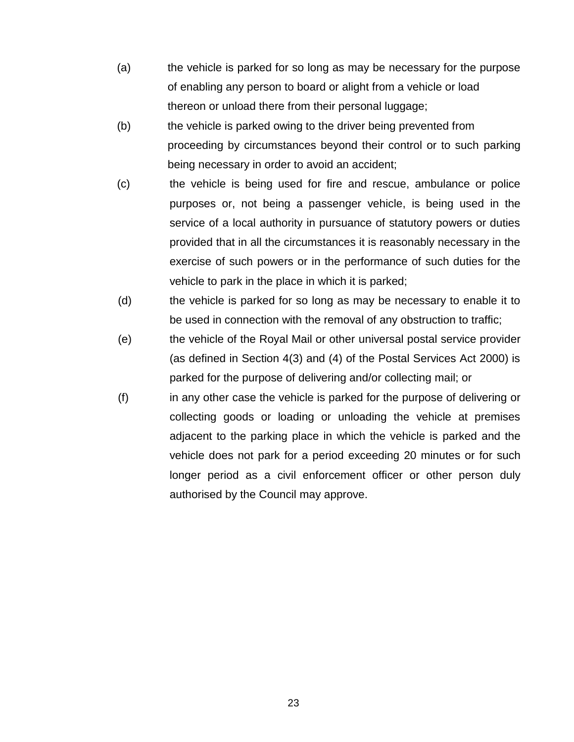- (a) the vehicle is parked for so long as may be necessary for the purpose of enabling any person to board or alight from a vehicle or load thereon or unload there from their personal luggage;
- (b) the vehicle is parked owing to the driver being prevented from proceeding by circumstances beyond their control or to such parking being necessary in order to avoid an accident;
- (c) the vehicle is being used for fire and rescue, ambulance or police purposes or, not being a passenger vehicle, is being used in the service of a local authority in pursuance of statutory powers or duties provided that in all the circumstances it is reasonably necessary in the exercise of such powers or in the performance of such duties for the vehicle to park in the place in which it is parked;
- (d) the vehicle is parked for so long as may be necessary to enable it to be used in connection with the removal of any obstruction to traffic;
- (e) the vehicle of the Royal Mail or other universal postal service provider (as defined in Section 4(3) and (4) of the Postal Services Act 2000) is parked for the purpose of delivering and/or collecting mail; or
- (f) in any other case the vehicle is parked for the purpose of delivering or collecting goods or loading or unloading the vehicle at premises adjacent to the parking place in which the vehicle is parked and the vehicle does not park for a period exceeding 20 minutes or for such longer period as a civil enforcement officer or other person duly authorised by the Council may approve.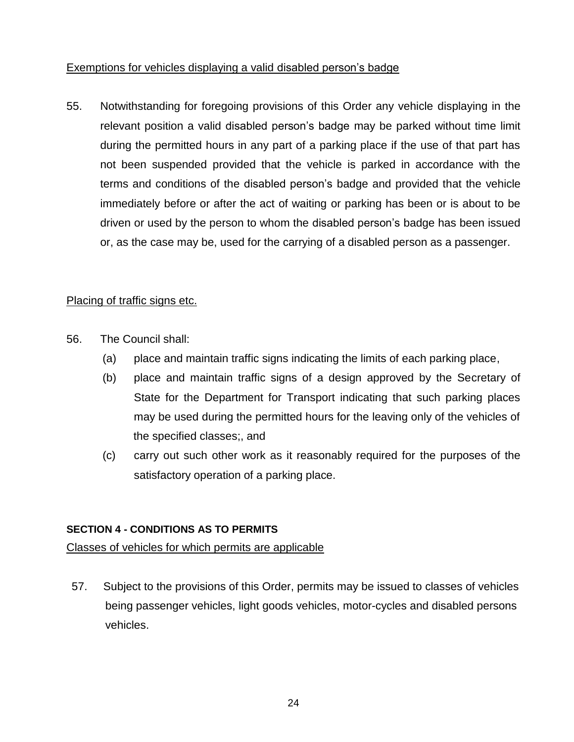Exemptions for vehicles displaying a valid disabled person's badge

55. Notwithstanding for foregoing provisions of this Order any vehicle displaying in the relevant position a valid disabled person's badge may be parked without time limit during the permitted hours in any part of a parking place if the use of that part has not been suspended provided that the vehicle is parked in accordance with the terms and conditions of the disabled person's badge and provided that the vehicle immediately before or after the act of waiting or parking has been or is about to be driven or used by the person to whom the disabled person's badge has been issued or, as the case may be, used for the carrying of a disabled person as a passenger.

### Placing of traffic signs etc.

- 56. The Council shall:
	- (a) place and maintain traffic signs indicating the limits of each parking place,
	- (b) place and maintain traffic signs of a design approved by the Secretary of State for the Department for Transport indicating that such parking places may be used during the permitted hours for the leaving only of the vehicles of the specified classes;, and
	- (c) carry out such other work as it reasonably required for the purposes of the satisfactory operation of a parking place.

### **SECTION 4 - CONDITIONS AS TO PERMITS**

Classes of vehicles for which permits are applicable

57. Subject to the provisions of this Order, permits may be issued to classes of vehicles being passenger vehicles, light goods vehicles, motor-cycles and disabled persons vehicles.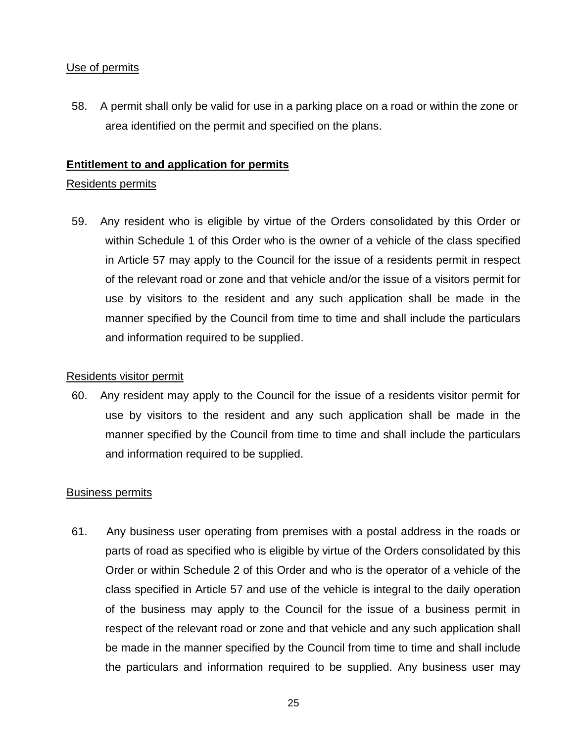### Use of permits

58. A permit shall only be valid for use in a parking place on a road or within the zone or area identified on the permit and specified on the plans.

### **Entitlement to and application for permits**

### Residents permits

59. Any resident who is eligible by virtue of the Orders consolidated by this Order or within Schedule 1 of this Order who is the owner of a vehicle of the class specified in Article 57 may apply to the Council for the issue of a residents permit in respect of the relevant road or zone and that vehicle and/or the issue of a visitors permit for use by visitors to the resident and any such application shall be made in the manner specified by the Council from time to time and shall include the particulars and information required to be supplied.

### Residents visitor permit

60. Any resident may apply to the Council for the issue of a residents visitor permit for use by visitors to the resident and any such application shall be made in the manner specified by the Council from time to time and shall include the particulars and information required to be supplied.

### Business permits

61. Any business user operating from premises with a postal address in the roads or parts of road as specified who is eligible by virtue of the Orders consolidated by this Order or within Schedule 2 of this Order and who is the operator of a vehicle of the class specified in Article 57 and use of the vehicle is integral to the daily operation of the business may apply to the Council for the issue of a business permit in respect of the relevant road or zone and that vehicle and any such application shall be made in the manner specified by the Council from time to time and shall include the particulars and information required to be supplied. Any business user may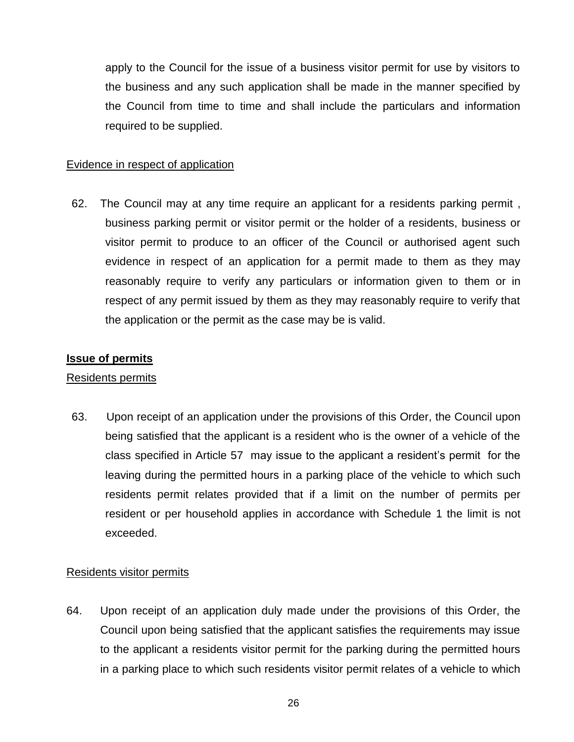apply to the Council for the issue of a business visitor permit for use by visitors to the business and any such application shall be made in the manner specified by the Council from time to time and shall include the particulars and information required to be supplied.

### Evidence in respect of application

62. The Council may at any time require an applicant for a residents parking permit , business parking permit or visitor permit or the holder of a residents, business or visitor permit to produce to an officer of the Council or authorised agent such evidence in respect of an application for a permit made to them as they may reasonably require to verify any particulars or information given to them or in respect of any permit issued by them as they may reasonably require to verify that the application or the permit as the case may be is valid.

#### **Issue of permits**

### Residents permits

63. Upon receipt of an application under the provisions of this Order, the Council upon being satisfied that the applicant is a resident who is the owner of a vehicle of the class specified in Article 57 may issue to the applicant a resident's permit for the leaving during the permitted hours in a parking place of the vehicle to which such residents permit relates provided that if a limit on the number of permits per resident or per household applies in accordance with Schedule 1 the limit is not exceeded.

### Residents visitor permits

64. Upon receipt of an application duly made under the provisions of this Order, the Council upon being satisfied that the applicant satisfies the requirements may issue to the applicant a residents visitor permit for the parking during the permitted hours in a parking place to which such residents visitor permit relates of a vehicle to which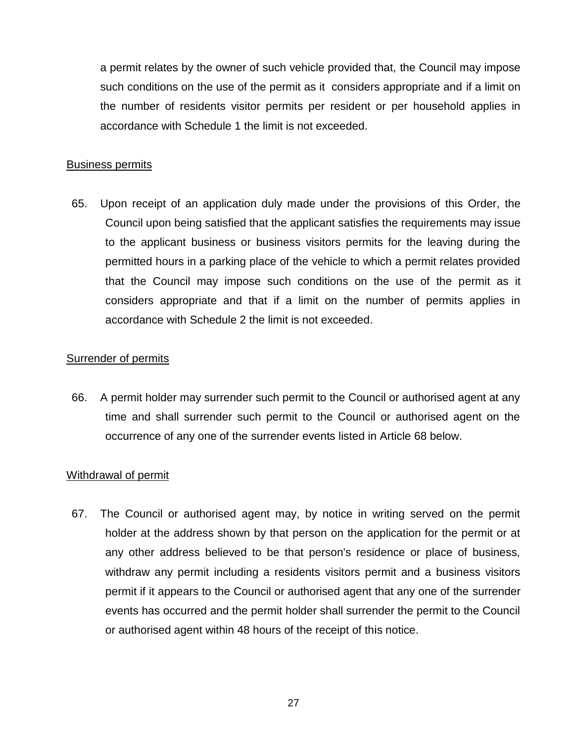a permit relates by the owner of such vehicle provided that, the Council may impose such conditions on the use of the permit as it considers appropriate and if a limit on the number of residents visitor permits per resident or per household applies in accordance with Schedule 1 the limit is not exceeded.

#### Business permits

65. Upon receipt of an application duly made under the provisions of this Order, the Council upon being satisfied that the applicant satisfies the requirements may issue to the applicant business or business visitors permits for the leaving during the permitted hours in a parking place of the vehicle to which a permit relates provided that the Council may impose such conditions on the use of the permit as it considers appropriate and that if a limit on the number of permits applies in accordance with Schedule 2 the limit is not exceeded.

### Surrender of permits

66. A permit holder may surrender such permit to the Council or authorised agent at any time and shall surrender such permit to the Council or authorised agent on the occurrence of any one of the surrender events listed in Article 68 below.

### Withdrawal of permit

67. The Council or authorised agent may, by notice in writing served on the permit holder at the address shown by that person on the application for the permit or at any other address believed to be that person's residence or place of business, withdraw any permit including a residents visitors permit and a business visitors permit if it appears to the Council or authorised agent that any one of the surrender events has occurred and the permit holder shall surrender the permit to the Council or authorised agent within 48 hours of the receipt of this notice.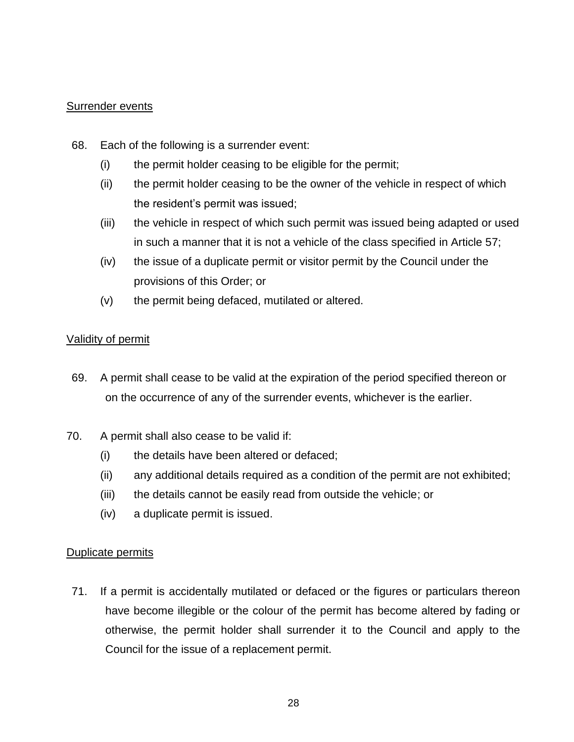#### Surrender events

- 68. Each of the following is a surrender event:
	- (i) the permit holder ceasing to be eligible for the permit;
	- (ii) the permit holder ceasing to be the owner of the vehicle in respect of which the resident's permit was issued;
	- (iii) the vehicle in respect of which such permit was issued being adapted or used in such a manner that it is not a vehicle of the class specified in Article 57;
	- (iv) the issue of a duplicate permit or visitor permit by the Council under the provisions of this Order; or
	- (v) the permit being defaced, mutilated or altered.

### Validity of permit

- 69. A permit shall cease to be valid at the expiration of the period specified thereon or on the occurrence of any of the surrender events, whichever is the earlier.
- 70. A permit shall also cease to be valid if:
	- (i) the details have been altered or defaced;
	- (ii) any additional details required as a condition of the permit are not exhibited;
	- (iii) the details cannot be easily read from outside the vehicle; or
	- (iv) a duplicate permit is issued.

### Duplicate permits

71. If a permit is accidentally mutilated or defaced or the figures or particulars thereon have become illegible or the colour of the permit has become altered by fading or otherwise, the permit holder shall surrender it to the Council and apply to the Council for the issue of a replacement permit.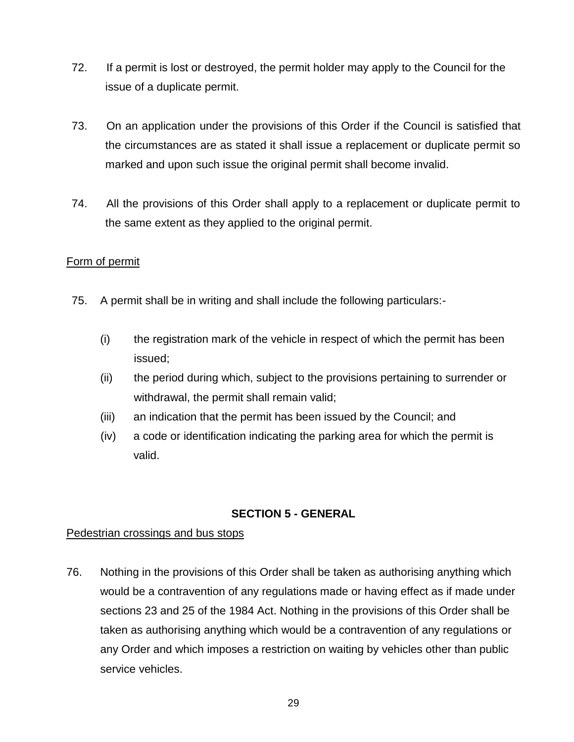- 72. If a permit is lost or destroyed, the permit holder may apply to the Council for the issue of a duplicate permit.
- 73. On an application under the provisions of this Order if the Council is satisfied that the circumstances are as stated it shall issue a replacement or duplicate permit so marked and upon such issue the original permit shall become invalid.
- 74. All the provisions of this Order shall apply to a replacement or duplicate permit to the same extent as they applied to the original permit.

### Form of permit

- 75. A permit shall be in writing and shall include the following particulars:-
	- (i) the registration mark of the vehicle in respect of which the permit has been issued;
	- (ii) the period during which, subject to the provisions pertaining to surrender or withdrawal, the permit shall remain valid;
	- (iii) an indication that the permit has been issued by the Council; and
	- (iv) a code or identification indicating the parking area for which the permit is valid.

### **SECTION 5 - GENERAL**

### Pedestrian crossings and bus stops

76. Nothing in the provisions of this Order shall be taken as authorising anything which would be a contravention of any regulations made or having effect as if made under sections 23 and 25 of the 1984 Act. Nothing in the provisions of this Order shall be taken as authorising anything which would be a contravention of any regulations or any Order and which imposes a restriction on waiting by vehicles other than public service vehicles.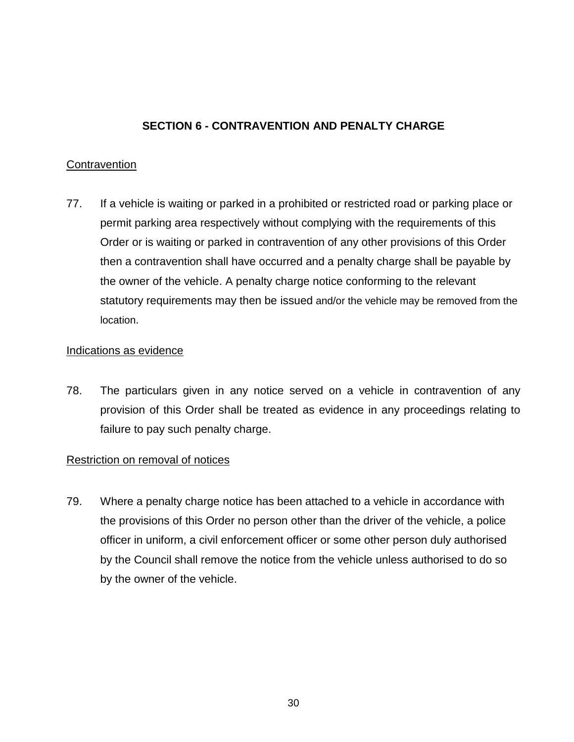### **SECTION 6 - CONTRAVENTION AND PENALTY CHARGE**

### **Contravention**

77. If a vehicle is waiting or parked in a prohibited or restricted road or parking place or permit parking area respectively without complying with the requirements of this Order or is waiting or parked in contravention of any other provisions of this Order then a contravention shall have occurred and a penalty charge shall be payable by the owner of the vehicle. A penalty charge notice conforming to the relevant statutory requirements may then be issued and/or the vehicle may be removed from the location.

#### Indications as evidence

78. The particulars given in any notice served on a vehicle in contravention of any provision of this Order shall be treated as evidence in any proceedings relating to failure to pay such penalty charge.

### Restriction on removal of notices

79. Where a penalty charge notice has been attached to a vehicle in accordance with the provisions of this Order no person other than the driver of the vehicle, a police officer in uniform, a civil enforcement officer or some other person duly authorised by the Council shall remove the notice from the vehicle unless authorised to do so by the owner of the vehicle.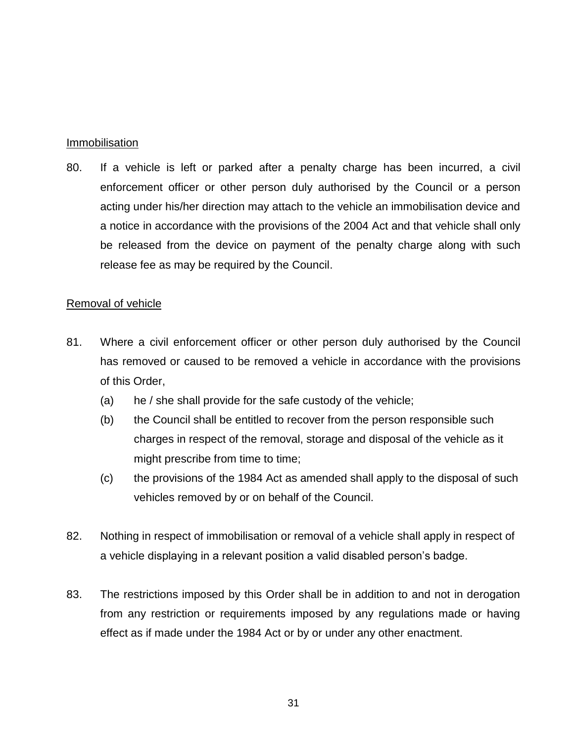#### Immobilisation

80. If a vehicle is left or parked after a penalty charge has been incurred, a civil enforcement officer or other person duly authorised by the Council or a person acting under his/her direction may attach to the vehicle an immobilisation device and a notice in accordance with the provisions of the 2004 Act and that vehicle shall only be released from the device on payment of the penalty charge along with such release fee as may be required by the Council.

### Removal of vehicle

- 81. Where a civil enforcement officer or other person duly authorised by the Council has removed or caused to be removed a vehicle in accordance with the provisions of this Order,
	- (a) he / she shall provide for the safe custody of the vehicle;
	- (b) the Council shall be entitled to recover from the person responsible such charges in respect of the removal, storage and disposal of the vehicle as it might prescribe from time to time;
	- (c) the provisions of the 1984 Act as amended shall apply to the disposal of such vehicles removed by or on behalf of the Council.
- 82. Nothing in respect of immobilisation or removal of a vehicle shall apply in respect of a vehicle displaying in a relevant position a valid disabled person's badge.
- 83. The restrictions imposed by this Order shall be in addition to and not in derogation from any restriction or requirements imposed by any regulations made or having effect as if made under the 1984 Act or by or under any other enactment.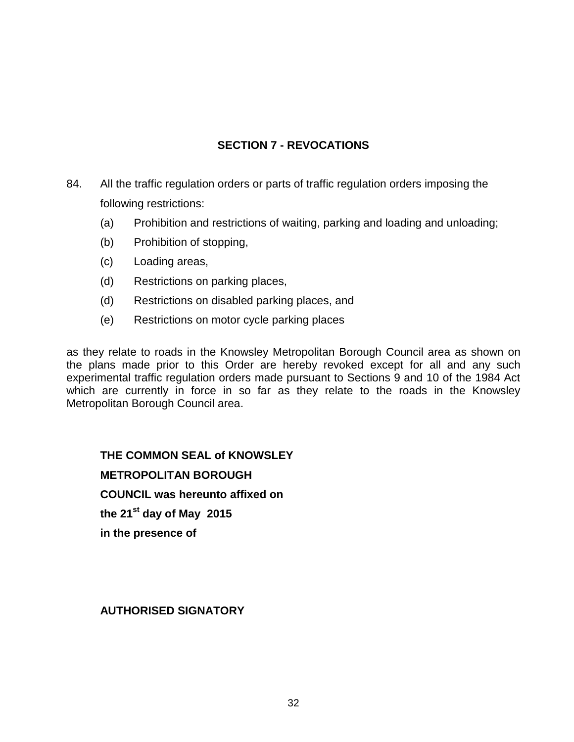### **SECTION 7 - REVOCATIONS**

- 84. All the traffic regulation orders or parts of traffic regulation orders imposing the following restrictions:
	- (a) Prohibition and restrictions of waiting, parking and loading and unloading;
	- (b) Prohibition of stopping,
	- (c) Loading areas,
	- (d) Restrictions on parking places,
	- (d) Restrictions on disabled parking places, and
	- (e) Restrictions on motor cycle parking places

as they relate to roads in the Knowsley Metropolitan Borough Council area as shown on the plans made prior to this Order are hereby revoked except for all and any such experimental traffic regulation orders made pursuant to Sections 9 and 10 of the 1984 Act which are currently in force in so far as they relate to the roads in the Knowsley Metropolitan Borough Council area.

**THE COMMON SEAL of KNOWSLEY METROPOLITAN BOROUGH COUNCIL was hereunto affixed on the 21st day of May 2015 in the presence of**

### **AUTHORISED SIGNATORY**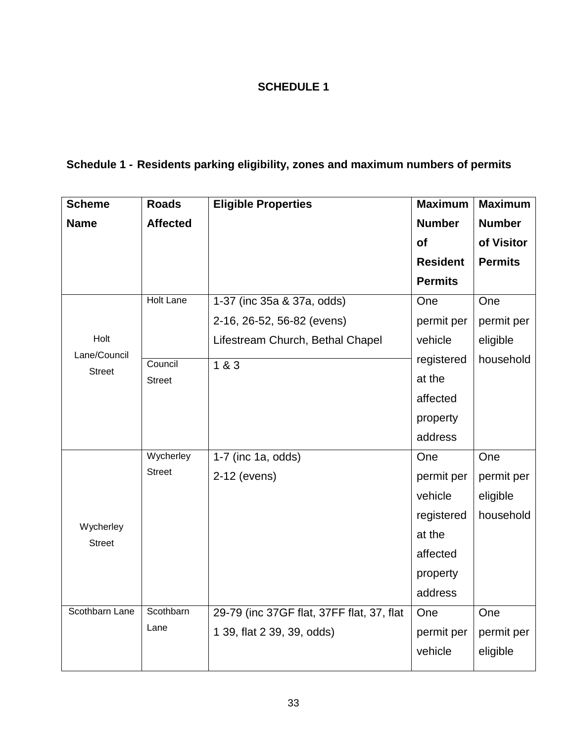### **SCHEDULE 1**

## **Schedule 1 - Residents parking eligibility, zones and maximum numbers of permits**

| <b>Scheme</b>              | <b>Roads</b>     | <b>Eligible Properties</b>                | <b>Maximum</b>  | <b>Maximum</b> |
|----------------------------|------------------|-------------------------------------------|-----------------|----------------|
| <b>Name</b>                | <b>Affected</b>  |                                           | <b>Number</b>   | <b>Number</b>  |
|                            |                  |                                           | of              | of Visitor     |
|                            |                  |                                           | <b>Resident</b> | <b>Permits</b> |
|                            |                  |                                           | <b>Permits</b>  |                |
|                            | <b>Holt Lane</b> | 1-37 (inc 35a & 37a, odds)                | One             | One            |
|                            |                  | 2-16, 26-52, 56-82 (evens)                | permit per      | permit per     |
| Holt                       |                  | Lifestream Church, Bethal Chapel          | vehicle         | eligible       |
| Lane/Council               | Council          | 183                                       | registered      | household      |
| <b>Street</b>              | <b>Street</b>    |                                           | at the          |                |
|                            |                  |                                           | affected        |                |
|                            |                  |                                           | property        |                |
|                            |                  |                                           | address         |                |
|                            | Wycherley        | 1-7 (inc 1a, odds)                        | One             | One            |
|                            | <b>Street</b>    | 2-12 (evens)                              | permit per      | permit per     |
|                            |                  |                                           | vehicle         | eligible       |
|                            |                  |                                           | registered      | household      |
| Wycherley<br><b>Street</b> |                  |                                           | at the          |                |
|                            |                  |                                           | affected        |                |
|                            |                  |                                           | property        |                |
|                            |                  |                                           | address         |                |
| Scothbarn Lane             | Scothbarn        | 29-79 (inc 37GF flat, 37FF flat, 37, flat | One             | One            |
|                            | Lane             | 1 39, flat 2 39, 39, odds)                | permit per      | permit per     |
|                            |                  |                                           | vehicle         | eligible       |
|                            |                  |                                           |                 |                |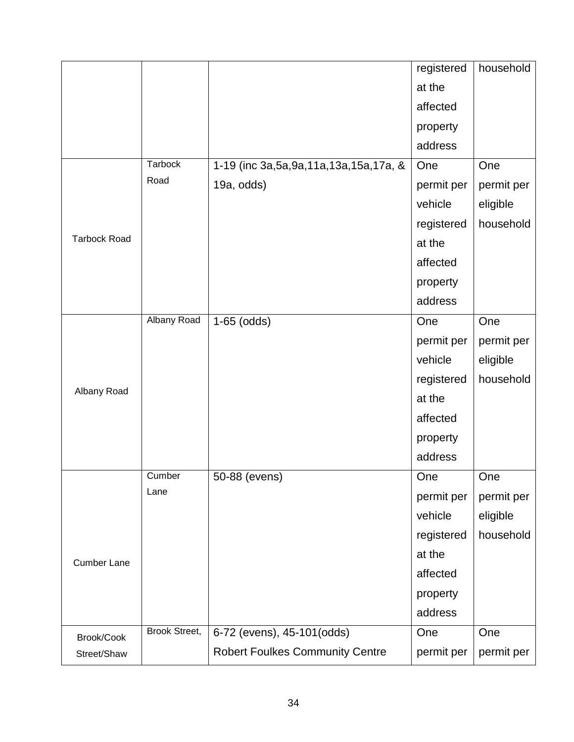|                     |                      |                                             | registered | household  |
|---------------------|----------------------|---------------------------------------------|------------|------------|
|                     |                      |                                             | at the     |            |
|                     |                      |                                             | affected   |            |
|                     |                      |                                             | property   |            |
|                     |                      |                                             | address    |            |
|                     | Tarbock              | 1-19 (inc 3a, 5a, 9a, 11a, 13a, 15a, 17a, & | One        | One        |
|                     | Road                 | 19a, odds)                                  | permit per | permit per |
|                     |                      |                                             | vehicle    | eligible   |
|                     |                      |                                             | registered | household  |
| <b>Tarbock Road</b> |                      |                                             | at the     |            |
|                     |                      |                                             | affected   |            |
|                     |                      |                                             | property   |            |
|                     |                      |                                             | address    |            |
|                     | <b>Albany Road</b>   | $1-65$ (odds)                               | One        | One        |
|                     |                      |                                             | permit per | permit per |
|                     |                      |                                             | vehicle    | eligible   |
|                     |                      |                                             | registered | household  |
| Albany Road         |                      |                                             | at the     |            |
|                     |                      |                                             | affected   |            |
|                     |                      |                                             | property   |            |
|                     |                      |                                             | address    |            |
|                     | Cumber               | 50-88 (evens)                               | One        | One        |
|                     | Lane                 |                                             | permit per | permit per |
|                     |                      |                                             | vehicle    | eligible   |
| <b>Cumber Lane</b>  |                      |                                             | registered | household  |
|                     |                      |                                             | at the     |            |
|                     |                      |                                             | affected   |            |
|                     |                      |                                             | property   |            |
|                     |                      |                                             | address    |            |
| Brook/Cook          | <b>Brook Street,</b> | 6-72 (evens), 45-101(odds)                  | One        | One        |
| Street/Shaw         |                      | <b>Robert Foulkes Community Centre</b>      | permit per | permit per |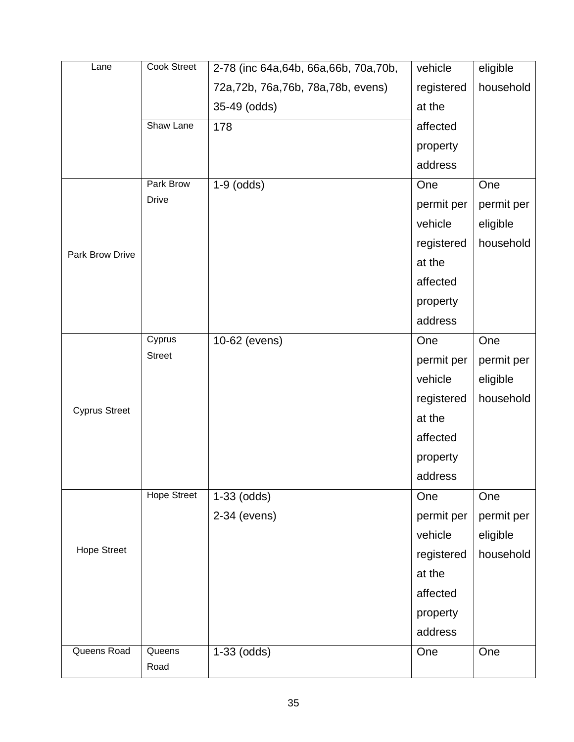| Lane                 | Cook Street        | 2-78 (inc 64a, 64b, 66a, 66b, 70a, 70b, | vehicle    | eligible   |
|----------------------|--------------------|-----------------------------------------|------------|------------|
|                      |                    | 72a, 72b, 76a, 76b, 78a, 78b, evens)    | registered | household  |
|                      |                    | 35-49 (odds)                            | at the     |            |
|                      | Shaw Lane          | 178                                     | affected   |            |
|                      |                    |                                         | property   |            |
|                      |                    |                                         | address    |            |
|                      | Park Brow          | $1-9$ (odds)                            | One        | One        |
|                      | <b>Drive</b>       |                                         | permit per | permit per |
|                      |                    |                                         | vehicle    | eligible   |
|                      |                    |                                         | registered | household  |
| Park Brow Drive      |                    |                                         | at the     |            |
|                      |                    |                                         | affected   |            |
|                      |                    |                                         | property   |            |
|                      |                    |                                         | address    |            |
|                      | Cyprus             | 10-62 (evens)                           | One        | One        |
|                      | <b>Street</b>      |                                         | permit per | permit per |
|                      |                    |                                         | vehicle    | eligible   |
|                      |                    |                                         | registered | household  |
| <b>Cyprus Street</b> |                    |                                         | at the     |            |
|                      |                    |                                         | affected   |            |
|                      |                    |                                         | property   |            |
|                      |                    |                                         | address    |            |
| <b>Hope Street</b>   | <b>Hope Street</b> | $1-33$ (odds)                           | One        | One        |
|                      |                    | 2-34 (evens)                            | permit per | permit per |
|                      |                    |                                         | vehicle    | eligible   |
|                      |                    |                                         | registered | household  |
|                      |                    |                                         | at the     |            |
|                      |                    |                                         | affected   |            |
|                      |                    |                                         | property   |            |
|                      |                    |                                         | address    |            |
| Queens Road          | Queens             | $1-33$ (odds)                           | One        | One        |
|                      | Road               |                                         |            |            |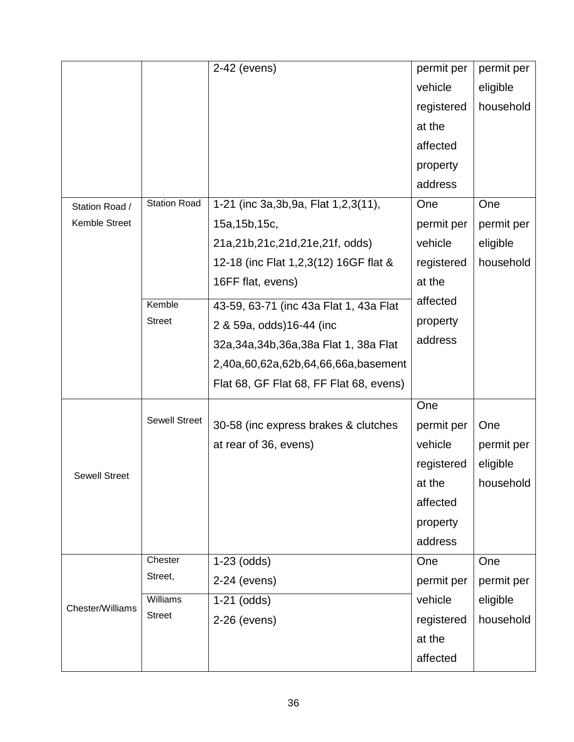|                      |                      | 2-42 (evens)                             | permit per | permit per |
|----------------------|----------------------|------------------------------------------|------------|------------|
|                      |                      |                                          | vehicle    | eligible   |
|                      |                      |                                          | registered | household  |
|                      |                      |                                          | at the     |            |
|                      |                      |                                          | affected   |            |
|                      |                      |                                          | property   |            |
|                      |                      |                                          | address    |            |
| Station Road /       | <b>Station Road</b>  | 1-21 (inc 3a, 3b, 9a, Flat 1, 2, 3(11),  | One        | One        |
| Kemble Street        |                      | 15a, 15b, 15c,                           | permit per | permit per |
|                      |                      | 21a,21b,21c,21d,21e,21f, odds)           | vehicle    | eligible   |
|                      |                      | 12-18 (inc Flat 1,2,3(12) 16GF flat &    | registered | household  |
|                      |                      | 16FF flat, evens)                        | at the     |            |
|                      | Kemble               | 43-59, 63-71 (inc 43a Flat 1, 43a Flat   | affected   |            |
|                      | <b>Street</b>        | 2 & 59a, odds)16-44 (inc                 | property   |            |
|                      |                      | 32a, 34a, 34b, 36a, 38a Flat 1, 38a Flat | address    |            |
|                      |                      | 2,40a,60,62a,62b,64,66,66a,basement      |            |            |
|                      |                      | Flat 68, GF Flat 68, FF Flat 68, evens)  |            |            |
|                      |                      |                                          | One        |            |
|                      | <b>Sewell Street</b> | 30-58 (inc express brakes & clutches     | permit per | One        |
|                      |                      | at rear of 36, evens)                    | vehicle    | permit per |
|                      |                      |                                          | registered | eligible   |
| <b>Sewell Street</b> |                      |                                          | at the     | household  |
|                      |                      |                                          | affected   |            |
|                      |                      |                                          | property   |            |
|                      |                      |                                          | address    |            |
|                      | Chester              | $1-23$ (odds)                            | One        | One        |
| Chester/Williams     | Street,              | 2-24 (evens)                             | permit per | permit per |
|                      | <b>Williams</b>      | $1-21$ (odds)                            | vehicle    | eligible   |
|                      | <b>Street</b>        | 2-26 (evens)                             | registered | household  |
|                      |                      |                                          | at the     |            |
|                      |                      |                                          | affected   |            |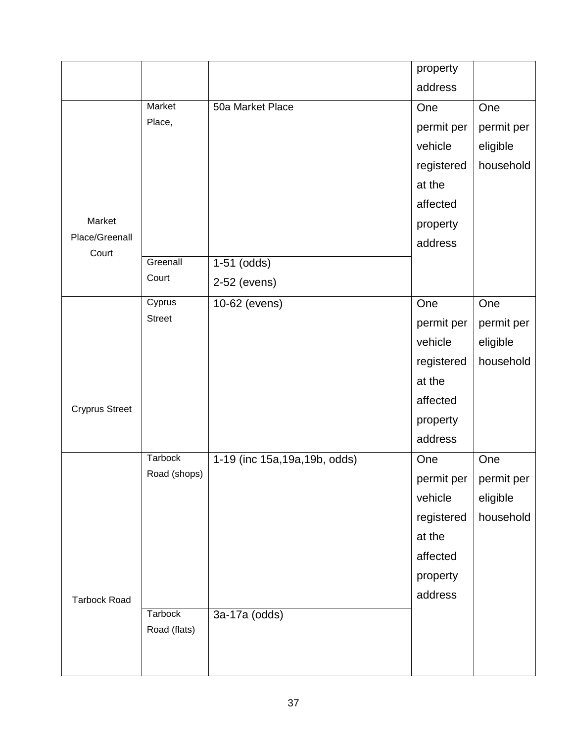|                       |                |                                | property   |            |
|-----------------------|----------------|--------------------------------|------------|------------|
|                       |                |                                | address    |            |
|                       | Market         | 50a Market Place               | One        | One        |
|                       | Place,         |                                | permit per | permit per |
|                       |                |                                | vehicle    | eligible   |
|                       |                |                                | registered | household  |
|                       |                |                                | at the     |            |
|                       |                |                                | affected   |            |
| Market                |                |                                | property   |            |
| Place/Greenall        |                |                                | address    |            |
| Court                 | Greenall       | $1-51$ (odds)                  |            |            |
|                       | Court          | 2-52 (evens)                   |            |            |
|                       | Cyprus         | 10-62 (evens)                  | One        | One        |
|                       | <b>Street</b>  |                                | permit per | permit per |
|                       |                |                                | vehicle    | eligible   |
|                       |                |                                | registered | household  |
|                       |                |                                | at the     |            |
| <b>Cryprus Street</b> |                |                                | affected   |            |
|                       |                |                                | property   |            |
|                       |                |                                | address    |            |
|                       | <b>Tarbock</b> | 1-19 (inc 15a, 19a, 19b, odds) | One        | One        |
|                       | Road (shops)   |                                | permit per | permit per |
|                       |                |                                | vehicle    | eligible   |
|                       |                |                                | registered | household  |
|                       |                |                                | at the     |            |
|                       |                |                                | affected   |            |
|                       |                |                                | property   |            |
| <b>Tarbock Road</b>   |                |                                | address    |            |
|                       | Tarbock        | 3a-17a (odds)                  |            |            |
|                       | Road (flats)   |                                |            |            |
|                       |                |                                |            |            |
|                       |                |                                |            |            |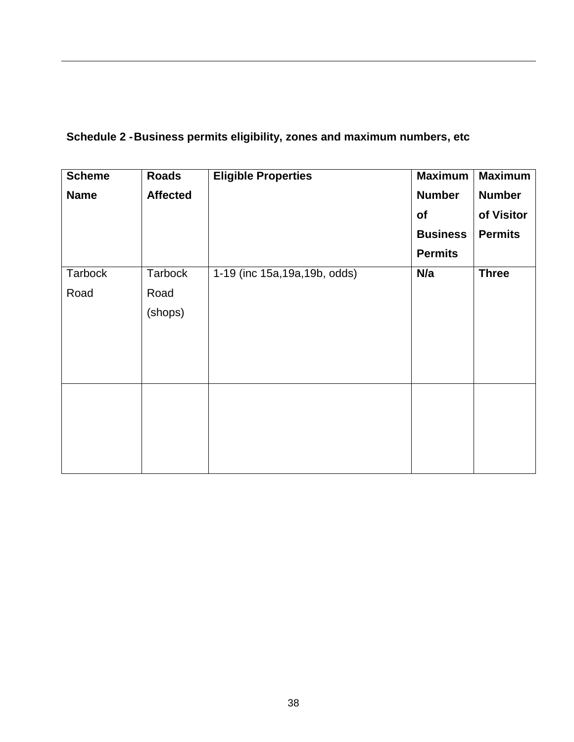## **Schedule 2 -Business permits eligibility, zones and maximum numbers, etc**

| <b>Scheme</b>  | <b>Roads</b>    | <b>Eligible Properties</b>     | <b>Maximum</b>  | <b>Maximum</b> |
|----------------|-----------------|--------------------------------|-----------------|----------------|
| <b>Name</b>    | <b>Affected</b> |                                | <b>Number</b>   | <b>Number</b>  |
|                |                 |                                | of              | of Visitor     |
|                |                 |                                | <b>Business</b> | <b>Permits</b> |
|                |                 |                                | <b>Permits</b>  |                |
| <b>Tarbock</b> | Tarbock         | 1-19 (inc 15a, 19a, 19b, odds) | N/a             | <b>Three</b>   |
| Road           | Road            |                                |                 |                |
|                | (shops)         |                                |                 |                |
|                |                 |                                |                 |                |
|                |                 |                                |                 |                |
|                |                 |                                |                 |                |
|                |                 |                                |                 |                |
|                |                 |                                |                 |                |
|                |                 |                                |                 |                |
|                |                 |                                |                 |                |
|                |                 |                                |                 |                |